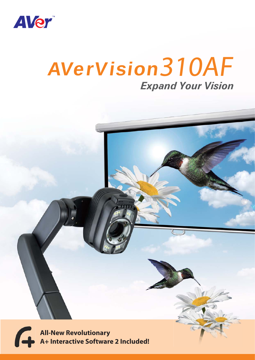

## *Expand Your Vision* AVerVision 310AF

**All-New Revolutionary A+ Interactive Software 2 Included!**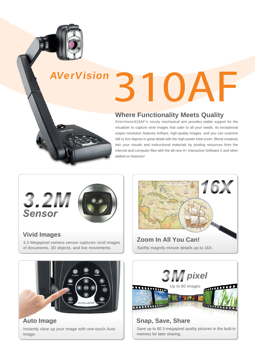

# 310AF AVerVision

## **Where Functionality Meets Quality**

AVerVision310AF's sturdy mechanical arm provides stable support for the visualizer to capture vivid images that cater to all your needs. Its exceptional output resolution features brilliant, high-quality images, and you can examine still or live objects in great detail with the high power total zoom. Blend creativity into your visuals and instructional materials by pooling resources from the Internet and computer files with the all-new A+ Interactive Software 2 and other added-on features!



**Vivid Images**

3.2-Megapixel camera sensor captures vivid images of documents, 3D objects, and live movements.



Swiftly magnify minute details up to 16X. **Zoom In All You Can!**



Instantly clear up your image with one-touch Auto Image. **Auto Image**



Save up to 80 3-megapixel quality pictures in the built-in memory for later sharing.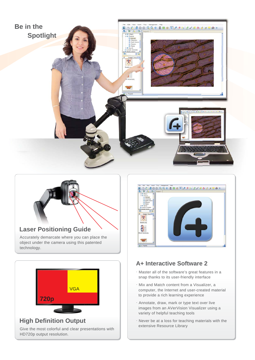



#### **Laser Positioning Guide**

Accurately demarcate where you can place the object under the camera using this patented technology.



Give the most colorful and clear presentations with HD720p output resolution.



### **A+ Interactive Software 2**

- .Master all of the software's great features in a snap thanks to its user-friendly interface
- $\cdot$  Mix and Match content from a Visualizer, a computer, the Internet and user-created material to provide a rich learning experience
- .Annotate, draw, mark or type text over live images from an AVerVision Visualizer using a variety of helpful teaching tools
- .Never be at a loss for teaching materials with the extensive Resource Library